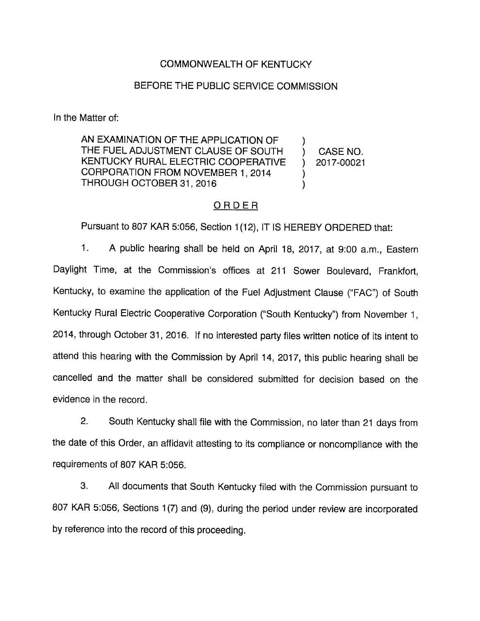## COMMONWEALTH OF KENTUCKY

## BEFORE THE PUBLIC SERVICE COMMISSION

In the Matter of:

AN EXAMINATION OF THE APPLICATION OF  $\lambda$ THE FUEL ADJUSTMENT CLAUSE OF SOUTH ) CASE NO. KENTUCKY RURAL ELECTRIC COOPERATIVE ) 2017-00021 CORPORATION FROM NOVEMBER 1, 2014  $\mathcal{E}$ THROUGH OCTOBER 31, 2016  $\mathcal{E}$ 

### ORDER

Pursuant to 807 KAR 5:056, Section 1(12), IT IS HEREBY ORDERED that:

1. A public hearing shall be held on April 18, 2017, at 9:00 a.m.. Eastern Daylight Time, at the Commission's offices at 211 Sower Boulevard, Frankfort, Kentucky, to examine the application of the Fuel Adjustment Clause ("FAC") of South Kentucky Rural Electric Cooperative Corporation ("South Kentucky") from November 1, 2014, through October 31, 2016. If no interested party files written notice of its intent to attend this hearing with the Commission by April 14, 2017, this public hearing shall be cancelled and the matter shall be considered submitted for decision based on the evidence in the record.

2. South Kentucky shall file with the Commission, no later than 21 days from the date of this Order, an affidavit attesting to its compliance or noncompliance with the requirements of 807 KAR 5:056.

3. All documents that South Kentucky filed with the Commission pursuant to 807 KAR 5:056, Sections 1(7) and (9), during the period under review are incorporated by reference into the record of this proceeding.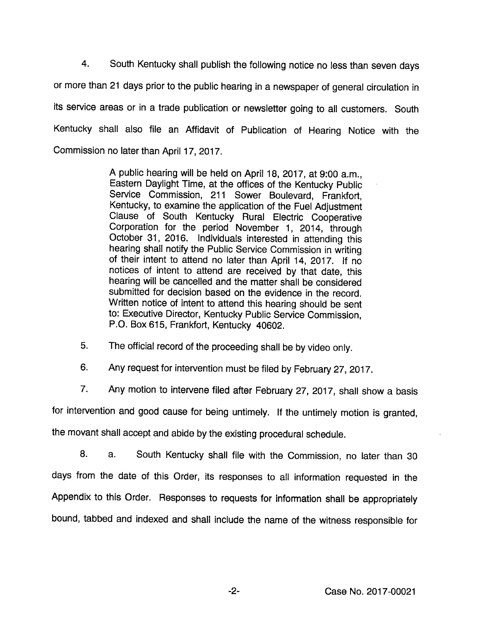4. South Kentucky shall publish the following notice no less than seven days or more than 21 days prior to the public hearing in a newspaper of general circulation in its service areas or in a trade publication or newsletter going to all customers. South Kentucky shall also file an Affidavit of Publication of Hearing Notice with the Commission no later than April 17, 2017.

> A public hearing will be held on April 18, 2017, at 9:00 a.m., Eastem Daylight Time, at the offices of the Kentucky Public Service Commission, 211 Sower Boulevard, Frankfort, Kentucky, to examine the application of the Fuel Adjustment Clause of South Kentucky Rural Electric Cooperative Corporation for the period November 1, 2014, through October 31, 2016. Individuals interested in attending this hearing shall notify the Public Service Commission in writing of their intent to attend no later than April 14, 2017. If no notices of intent to attend are received by that date, this hearing will be cancelled and the matter shall be considered submitted for decision based on the evidence in the record. Written notice of intent to attend this hearing should be sent to: Executive Director, Kentucky Public Service Commission, P.O. Box 615, Frankfort, Kentucky 40602.

5. The official record of the proceeding shall be by video only.

6. Any request for intervention must be filed by February 27, 2017.

7. Any motion to intervene filed after February 27, 2017, shall show a basis

for intervention and good cause for being untimely. If the untimely motion is granted,

the movant shall accept and abide by the existing procedural schedule.

8. a. South Kentucky shall file with the Commission, no later than 30 days from the date of this Order, its responses to all information requested in the Appendix to this Order. Responses to requests for information shall be appropriately bound, tabbed and indexed and shall include the name of the witness responsible for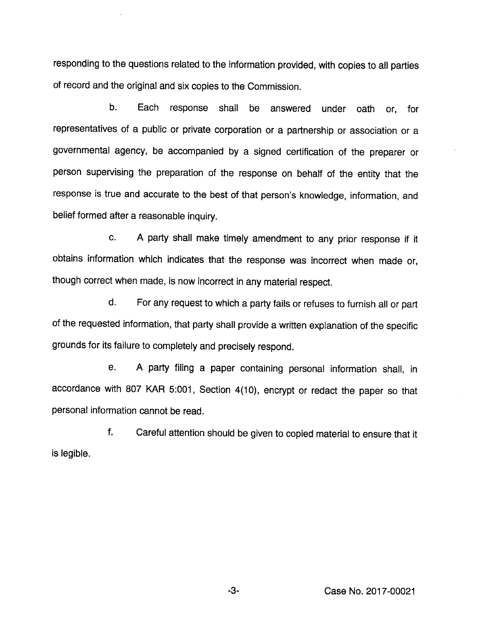responding to the questions related to the information provided, with copies to all parties of record and the original and six copies to the Commission.

b. Each response shall be answered under oath or, for representatives of a public or private corporation or a partnership or association or a governmental agency, be accompanied by a signed certification of the preparer or person supervising the preparation of the response on behalf of the entity that the response is true and accurate to the best of that person's knowledge, information, and belief formed after a reasonable inquiry.

c. A party shall make timely amendment to any prior response if it obtains information which indicates that the response was incorrect when made or, though correct when made, is now incorrect in any material respect.

d. For any request to which a party fails or refusesto furnish all or part of the requested information, that party shall provide a written explanation of the specific grounds for its failure to completely and precisely respond.

e. A party filing a paper containing personal information shall, in accordance with 807 KAR 5:001, Section 4(10), encrypt or redact the paper so that personal information cannot be read.

f. Careful attention should be given to copied material to ensure that it is legible.

-3- Case No. 2017-00021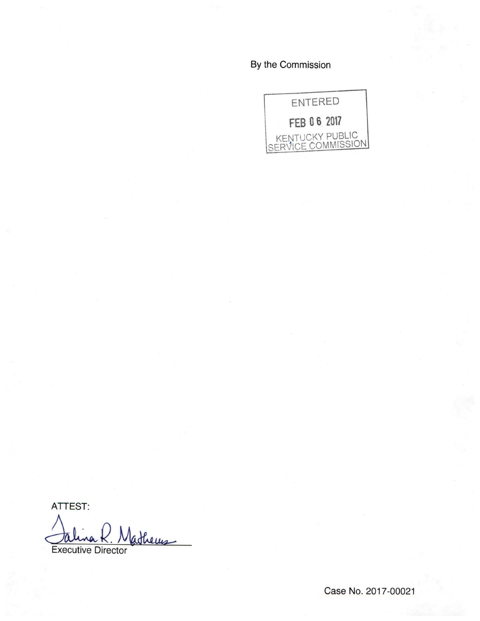By the Commission



ATTEST:

Jalina K. Mathems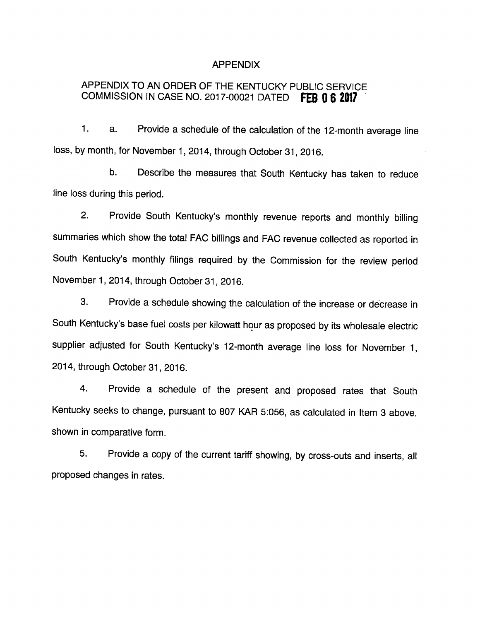#### APPENDIX

# APPENDIX TO AN ORDER OF THE KENTUCKY PUBLIC SERVICE COMMISSION IN CASE NO. 2017-00021 DATED FEB 0 6 2017

1. a. Provide a schedule of the calculation of the 12-month average line loss, by month, for November 1, 2014, through October 31, 2016.

b. Describe the measures that South Kentucky has taken to reduce line loss during this period.

2. Provide South Kentucky's monthly revenue reports and monthly billing summaries which show the total FAC billings and FAC revenue collected as reported in South Kentucky's monthly filings required by the Commission for the review period November 1, 2014, through October 31, 2016.

3. Provide a schedule showing the calculation of the increase or decrease in South Kentucky's base fuel costs per kilowatt hour as proposed by its wholesale electric supplier adjusted for South Kentucky's 12-month average line loss for November 1, 2014, through October 31, 2016.

4. Provide a schedule of the present and proposed rates that South Kentucky seeks to change, pursuant to 807 KAR 5:056, as calculated in Item 3 above, shown in comparative form.

5. Provide a copy of the current tariff showing, by cross-outs and inserts, all proposed changes in rates.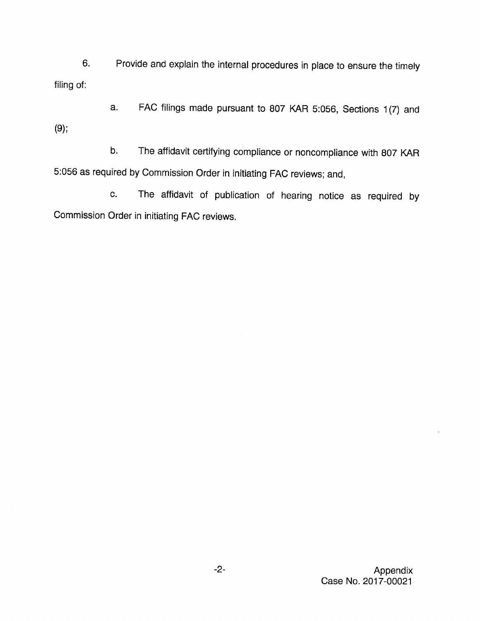6. Provide and explain the internal procedures in place to ensure the timely filing of:

a. FAC filings made pursuant to 807 KAR 5:056, Sections 1(7) and (9);

b. The affidavit certifying compliance or noncompliance with 807 KAR 5:056 as required by Commission Order in initiating FAC reviews; and,

c. The affidavit of publication of hearing notice as required by Commission Order in initiating FAC reviews.